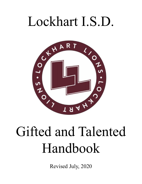# Lockhart I.S.D.



# Gifted and Talented Handbook

Revised July, 2020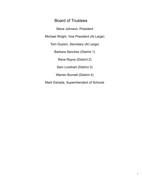## Board of Trustees

Steve Johnson, President

Michael Wright, Vice President (At Large)

Tom Guyton, Secretary (At Large)

Barbara Sanchez (District 1)

Rene Rayos (District 2)

Sam Lockhart (District 3)

Warren Burnett (District 4)

Mark Estrada, Superintendent of Schools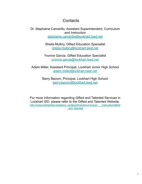# **Contacts**

Dr. Stephaine Camarillo, Assistant Superintendent, Curriculum and Instruction [stephaine.camarillo@lockhart.txed.net](mailto:stephaine.camarillo@lockhart.txed.net)

> Sheila Mulbry, Gifted Education Specialist [sheila.mulbry@lockhart.txed.net](mailto:sheila.mulbry@lockhart.txed.net)

Yvonne Garcia, Gifted Education Specialist [yvonne.garcia@lockhart.txed.net](mailto:yvonne.garcia@lockhart.txed.net)

Adam Miller, Assistant Principal, Lockhart Junior High School [adam.miller@lockhart.txed.net](mailto:adam.miller@lockhart.txed.net)

> Barry Bacom, Principal, Lockhart High School [barry.bacom@lockhart.txed.net](mailto:barry.bacom@lockhart.txed.net)

For more information regarding Gifted and Talented Services in Lockhart ISD, please refer to the Gifted and Talented Website: [http://www.lockhartisd.org/about\\_us/departments/curriculum\\_\\_\\_instruction/gifted](http://www.lockhartisd.org/about_us/departments/curriculum___instruction/gifted_and_talented) [\\_and\\_talented](http://www.lockhartisd.org/about_us/departments/curriculum___instruction/gifted_and_talented)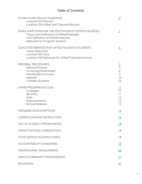## Table of Contents

| Foreword and Mission Statements<br><b>Lockhart ISD Mission</b><br>Lockhart ISD Gifted and Talented Mission                                                                               | $\overline{4}$                           |
|------------------------------------------------------------------------------------------------------------------------------------------------------------------------------------------|------------------------------------------|
| <b>TEXAS STATE PLAN FOR THE EDUCATION OF GIFTED/TALENTED</b><br><b>Texas State Definition of Gifted/Talented</b><br>LISD Definition of Gifted/Talented<br>Rationale for Program Services | $\overline{5}$                           |
| <b>GOALS FOR SERVICES FOR GIFTED/TALENTED STUDENTS</b><br><b>Texas State Goal</b><br>Lockhart ISD Goal<br>Lockhart ISD Rationale for Gifted/Talented Services                            | <u>_6</u>                                |
| REFERRAL PROCEDURES<br><b>Referral Process</b><br>Screening/Assessment<br><b>Identification Process</b><br>Appeals<br><b>Transfer Students</b>                                           | $\overline{7}$<br>8<br>9<br>10<br>10     |
| OTHER PROGRAM POLICIES<br>Furloughs<br>Re-Entry<br>Exits<br>Reassessments<br><b>Annual Reviews</b>                                                                                       | <u> 11</u><br>11<br>11<br>12<br>12<br>13 |
| PROGRAM DESIGN/OPTIONS                                                                                                                                                                   | <u>14</u>                                |
| <b>CURRICULUM AND INSTRUCTION</b>                                                                                                                                                        | <u> 16</u>                               |
| <b>OUT OF SCHOOL OPPORTUNITIES</b>                                                                                                                                                       | <u>18</u>                                |
| <b>CREDIT FOR EARLY GRADUATION</b>                                                                                                                                                       | 18                                       |
| <b>STATE GIFTED/TALENTED FUNDS</b>                                                                                                                                                       | 18                                       |
| <b>ACCOUNTABILITY STANDARDS</b>                                                                                                                                                          | <u> 19</u>                               |
| PROFESSIONAL DEVELOPMENT                                                                                                                                                                 | 20                                       |
| <b>FAMILY/COMMUNITY INVOLVEMENT</b>                                                                                                                                                      | <u>21</u>                                |
| <b>RESOURCES</b>                                                                                                                                                                         | <u>22</u>                                |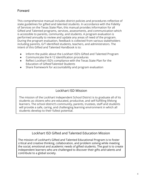## <span id="page-4-0"></span>Forward

This comprehensive manual includes district policies and procedures reflective of state guidelines for gifted and talented students. In accordance with the Fidelity of Services on the Texas State Plan, this manual provides information for all Gifted and Talented programs, services, assessments, and communication which is accessible to parents, community, and students. A program evaluation is performed annually to review and update any areas of need of the program. During the program evaluation, feedback is collected from various stakeholders including parents, G/T identified students, teachers, and administrators. The intent of this Gifted and Talented Handbook is to:

- Inform the public about the Lockhart ISD's Gifted and Talented Program
- Communicate the K-12 identification procedures
- Reflect Lockhart ISD's compliance with the Texas State Plan for the Education of Gifted/Talented Students
- Share framework for accountability and program evaluation

## Lockhart ISD Mission

The mission of the Lockhart Independent School District is to graduate all of its students as citizens who are educated, productive, and self-fulfilling lifelong learners. The school district's community, parents, trustees, staff and students will provide a safe, caring, and challenging learning environment in which all students develop to their fullest potential.

## Lockhart ISD Gifted and Talented Education Mission

The mission of Lockhart's Gifted and Talented Educational Program is to foster critical and creative thinking, collaboration, and problem solving while meeting the social, emotional and academic needs of gifted students. The goal is to create independent learners who are challenged to discover their gifts and talents and contribute to a global society.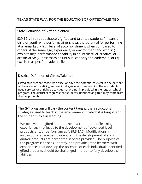## <span id="page-5-0"></span>State Definition of Gifted/Talented

§29.121. In this subchapter, "gifted and talented students" means a child or youth who performs at or shows the potential for performing at a remarkably high level of accomplishment when compared to others of the same age, experience, or environment and who: (1) exhibits high performance capability in an intellectual, creative, or artistic area; (2) possesses an unusual capacity for leadership; or (3) excels in a specific academic field.

## District Definition of Gifted/Talented

Gifted students are those who excel or have the potential to excel in one or more of the areas of creativity, general intelligence, and leadership. These students need services or enriched activities not ordinarily provided in the regular school program. The district recognizes that students identified as gifted may come from diverse populations.

The G/T program will vary the content taught, the instructional strategies used to teach it, the environment in which it is taught, and the student's role in learning.

We believe that gifted students need a continuum of learning experiences that leads to the development of advanced level products and/or performances (§89.3 TAC). Modifications in instructional strategies, content, and the development of skills and/or products are part of the services provided. The purpose of the program is to seek, identify, and provide gifted learners with experiences that develop the potential of each individual. Identified gifted students should be challenged in order to fully develop their abilities.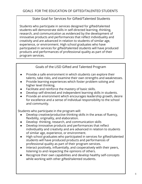## State Goal for Services for Gifted/Talented Students

<span id="page-6-0"></span>Students who participate in services designed for gifted/talented students will demonstrate skills in self-directed learning, thinking, research, and communication as evidenced by the development of innovative products and performances that reflect individuality and creativity and are advanced in relation to students of similar age, experience, or environment. High school graduates who have participated in services for gifted/talented students will have produced products and performances of professional quality as part of their program services.

## Goals of the LISD Gifted and Talented Program

- Provide a safe environment in which students can explore their talents, take risks, and examine their own strengths and weaknesses.
- Provide learning experiences which foster problem solving and higher level thinking.
- Facilitate and reinforce the mastery of basic skills.
- Develop self-directed and independent learning skills in students.
- Provide an environment which encourages leadership growth, desire for excellence and a sense of individual responsibility to the school and community.

Students who participate in the program will:

- Develop creative/productive thinking skills in the areas of fluency, flexibility, originality, and elaboration.
- Develop thinking, research, and communication skills
- Develop innovative products and performances that reflect individuality and creativity and are advanced in relation to students of similar age, experience, or environment.
- High school graduates who participated in services for gifted/talented students will have produced products and performances of professional quality as part of their program services.
- Interact positively, influentially, and cooperatively with their peers, listening to and respecting the opinions of others.
- Recognize their own capabilities and develop healthy self-concepts while working with other gifted/talented students.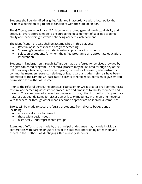## REFERRAL PROCEDURES

<span id="page-7-0"></span>Students shall be identified as gifted/talented in accordance with a local policy that includes a definition of giftedness consistent with the state definition.

The G/T program in Lockhart I.S.D. is centered around general intellectual ability and creativity. Every effort is made to encourage the development of specific-academic ability and leadership gifts while enhancing academic achievement.

The identification process shall be accomplished in three stages:

- Referral of students for the program screening
- Screening/assessing of students using appropriate instruments
- Selection of students for whom the gifted program is an appropriate educational intervention

Students in kindergarten through  $12<sup>th</sup>$  grade may be referred for services provided by the gifted/talented program. The referral process may be initiated through any of the following ways: teachers, parents, self, peers, counselors, librarians, administrators, community members, parents, relatives, or legal guardians. After referrals have been submitted to the campus G/T facilitator, parents of referred students must give written permission for further assessment.

Prior to the referral period, the principal, counselor, or G/T facilitator shall communicate referral and screening/assessment procedures and timelines to faculty members and parents. This communication may be completed through the distribution of appropriate materials, as agenda items for discussion at faculty meetings, in one-on-one meetings with teachers, or through other means deemed appropriate on individual campuses.

Efforts will be made to secure referrals of students from diverse backgrounds, including:

- economically disadvantaged
- those with special needs
- historically underrepresented groups

Examples of efforts to be made by the principal or designee may include individual conferences with parents or guardians of the students and training of teachers and others in the methods of identifying gifted minority students.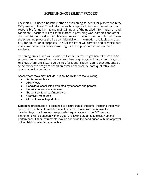## SCREENING/ASSESSMENT PROCESS

Lockhart I.S.D. uses a holistic method of screening students for placement in the G/T program. The G/T facilitator on each campus administers the tests and is responsible for gathering and maintaining all of the needed information on each candidate. Teachers will assist facilitators in providing work samples and other documentation to aid in identification process. The information collected during the screening process shall be confidential with information available and used only for educational purposes. The G/T facilitator will compile and organize data in a form that assists decision-making for the appropriate identification of students.

Screening procedures will consider all students who might benefit from the G/T program regardless of sex, race, creed, handicapping condition, ethnic origin or religious preference. State guidelines for identification require that students be selected for the program based on criteria that include both qualitative and quantitative instruments.

Assessment tools may include, but not be limited to the following:

- Achievement tests
- Ability tests
- Behavioral checklists completed by teachers and parents
- Parent conferences/interviews
- Student conferences/interviews
- Creativity measures
- Student products/portfolios

Screening procedures are designed to assure that all students, including those with special needs, those from different cultures, and those from economically disadvantaged backgrounds are provided equal access to the G/T program. Instruments will be chosen with the goal of allowing students to display optimal performance. Other instruments may be added as the need arises with the approval of the district's selection committee.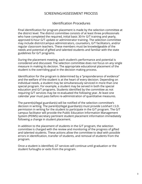## SCREENING/ASSESSMENT PROCESS

## Identification Procedures

Final identification for program placement is made by the selection committee at the district level. The district committee consists of at least three professionals who have completed the required, initial basic 30-hr G/T training and yearly, approved 6-hour G/T update or administrator training. The selection committee may include district/campus administrators, counselors, G/T facilitators, and/or regular classroom teachers. These members must be knowledgeable of the needs and potential of gifted and talented students and familiar with the state guidelines for G/T programs.

During the placement meeting, each student's performance and potential is considered and discussed. The selection committee does not focus on any single measure in making its decision. The appropriate educational placement of the student is the overriding goal in the decision making process.

Identification for the program is determined by a "preponderance of evidence" and the welfare of the student is at the heart of every decision. Depending on individual needs, a student may be simultaneously serviced in more than one special program. For example, a student may be served in both the special education and G/T programs. Students identified by the committee as not requiring G/T services may be re-evaluated the following year. At least one calendar year must pass before re-administration of quantitative measures.

The parent(s)/legal guardian(s) will be notified of the selection committee's decision in writing. The parent(s)/legal guardian(s) must provide Lockhart I.S.D. permission in writing for the student to participate in the G/T program. The G/T campus facilitator will provide the Public Education Information Management System (PEIMS) secretary pertinent student placement information immediately following a change in student placement.

In addition to the placement of students in the G/T program, the selection committee is charged with the review and monitoring of the progress of gifted and talented students. These actions allow the committee to deal with possible errors in identification, transfer of students, and removal of students from the program.

Once a student is identified, GT services will continue until graduation or the student furloughs or exits from the program.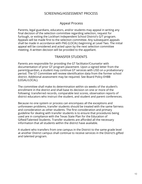## SCREENING/ASSESSMENT PROCESS

## Appeal Process

Parents, legal guardians, educators, and/or students may appeal in writing any final decision of the selection committee regarding selection, request for furlough, or exiting the Lockhart Independent School District's G/T program. Appeals will be made first to the selection committee. Any subsequent appeals shall be made in accordance with FNG (LOCAL) beginning at Level Two. The initial appeal will be considered and acted upon by the next selection committee meeting. A written decision will be provided to the appellant.

## TRANSFER STUDENTS

Parents are responsible for providing the GT facilitator/Counselor with documentation of prior GT program placement. Upon a signed letter from the parent/guardian, a student may continue GT services with LISD on a probationary period. The GT Committee will review identification data from the former school district. Additional assessment may be required. See Board Policy EHBB (LEGAL/LOCAL).

The committee shall make its determination within six weeks of the student's enrollment in the district and shall base its decision on one or more of the following: transferred records, comparable test scores, observation reports of district educators who instruct the student, and student and parent conferences.

Because no one system or process can encompass all the exceptions and unforeseen problems, transfer students should be treated with the same fairness and consideration as other students. The first consideration and primary guideline for dealing with transfer students is to ensure that procedures being used are in compliance with the Texas State Plan for the Education of Gifted/Talented Students. Transfer students are afforded all the necessary information that all students within the district have available.

A student who transfers from one campus in the District to the same grade level at another District campus shall continue to receive services in the District's gifted and talented program.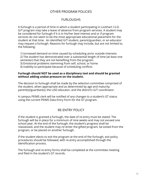## OTHER PROGRAM POLICIES

## **FURLOUGHS**

<span id="page-11-0"></span>A furlough is a period of time in which a student participating in Lockhart I.S.D. G/T program may take a leave of absence from program services. A student may be considered for furlough if it is in his/her best interest and or if program services do not seem to be the most appropriate educational placement for the student at that time. An identified G/T student, parent/guardian, or an educator may request a furlough. Reasons for furlough may include, but are not limited to, the following:

1) Increased demand on time caused by scheduling an/or outside interests 2) The student has demonstrated over a substantial length of time (at least one semester) that they are not benefiting from the program.

3) Emotional problems stemming from self, school, or home

4) Inability to participate because of scheduling conflicts

#### **Furlough should NOT be used as a disciplinary tool and should be granted without adding undue pressure on the student.**

The decision to furlough shall be made by the selection committee comprised of the student, when appropriate and as determined by age and maturity; parent(s)/guardian(s); the LISD educator; and the district's G/T coordinator.

A campus PEIMS clerk will be notified of any changes to a student's GT status using the current PEIMS Data Entry Form for the GT program.

## RE-ENTRY POLICY

If the student is granted a furlough, the date of re-entry must be stated. The furlough will be in place for a minimum of nine weeks and may not exceed one school year. At the end of the furlough, the student's progress shall be reassessed, and the student may re=enter the gifted program, be exited from the program, or be placed on another furlough.

If the student elects to exit the program at the end of the furlough, exit policy procedures should be followed, with re-entry accomplished through the identification process.

The furlough and re-entry forms shall be completed at the committee meeting and filed in the student's GT records.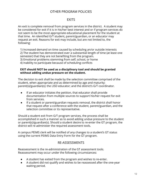## OTHER PROGRAM POLICIES

## **FXITS**

An exit is complete removal from program services in the district. A student may be considered for exit if it is in his/her best interest and or if program services do not seem to be the most appropriate educational placement for the student at that time. An identified G/T student, parent/guardian, or an educator may request an exit. Reasons for exit may include, but are not limited to, the following:

1) Increased demand on time caused by scheduling an/or outside interests 2) The student has demonstrated over a substantial length of time (at least one semester) that they are not benefiting from the program. 3) Emotional problems stemming from self, school, or home 4) Inability to participate because of scheduling conflicts

#### **EXIT should NOT be used as a disciplinary tool and should be granted without adding undue pressure on the student.**

The decision to exit shall be made by the selection committee comprised of the student, when appropriate and as determined by age and maturity; parent(s)/guardian(s); the LISD educator; and the district's G/T coordinator.

- If an educator initiates the petition, that educator shall provide documentation from multiple sources to support his/her request for exit from services.
- If a student or parent/guardian requests removal, the district shall honor that request after a conference with the student, parent/guardian, and the selection committee or its representative.

Should a student exit from G/T program services, the process shall be accomplished in such a manner as to avoid adding undue pressure to the student or parent(s)/guardian(s). Should a student desire to re-enter the GT program, the district will re-administer the required assessment tools.

A campus PEIMS clerk will be notified of any changes to a student's GT status using the current PEIMS Data Entry Form for the GT program.

## RE-ASSESSMENTS

Reassessment is the re-administration of the GT assessment tools. Reassessment may occur under the following circumstances:

- A student has exited from the program and wishes to re-enter.
- A student did not qualify and wishes to be reassessed after the one-year waiting period.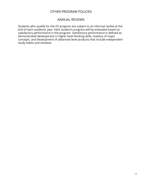## OTHER PROGRAM POLICIES

## ANNUAL REVIEWS

Students who qualify for the GT program are subject to an informal review at the end of each academic year. Each student's progress will be evaluated based on satisfactory performance in the program. Satisfactory performance is defined as demonstrated development in higher level thinking skills, mastery of major concepts, and development of advanced level products that include independent study habits and initiative.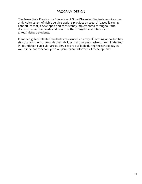## PROGRAM DESIGN

<span id="page-14-0"></span>The Texas State Plan for the Education of Gifted/Talented Students requires that a "flexible system of viable service options provides a research-based learning continuum that is developed and consistently implemented throughout the district to meet the needs and reinforce the strengths and interests of gifted/talented students.

Identified gifted/talented students are assured an array of learning opportunities that are commensurate with their abilities and that emphasize content in the four (4) foundation curricular areas. Services are available during the school day as well as the entire school year. All parents are informed of these options.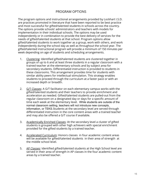## PROGRAM OPTIONS

The program options and instructional arrangements provided by Lockhart I.S.D. are practices promoted in literature that have been reported to be best practice and most successful for gifted/talented students in schools across the country. The options provide schools' administrators and teachers with models for implementation in their individual schools. The options may be used independently or in combination to provide the best delivery of services for the needs of gifted/talented students at that school. Program options allow gifted/talented students to work together as a group, work with others, and work independently during the school day as well as throughout the school year. The gifted/talented instructional program will provide a minimum of 150 minutes per week depending on age of students and scheduling arrangements.

- 1. Clustering: Identified gifted/talented students are clustered together in groups of up to 6 and at least three students in a regular classroom with a trained teacher at the elementary schools and by subject area for secondary students. Differentiated instruction is provided to students in these classrooms. This arrangement provides time for students with similar ability peers for intellectual stimulation. This strategy enables students to proceed through the curriculum at a faster pace or with an increased depth or breadth.
- 2. G/T Classes: A G/T facilitator on each elementary campus works with the gifted/talented students and their teachers to provide enrichment and acceleration as needed. Gifted/talented students are pulled-out from the regular classroom on a designated day or days for a specific amount of time each week at the elementary level. While students are outside of the normal classroom setting, teachers will not introduce new concepts, information, or TEKS.Students at the secondary level are served through differentiated instruction in the core content areas with a trained teacher and may also be offered a G/T course if available.
- 3. Academically Enriched Classes: At the secondary level a cluster of gifted students is grouped with other high achievers with special enrichment provided for the gifted students by a trained teacher.
- 4. Accelerated Curriculum: Honors classes in four academic content areas will be available for gifted/talented students in their area of strength at the middle school level.
- 5. AP Classes: Identified gifted/talented students at the High School level are served in their area of strength in AP classes in the four academic content areas by a trained teacher.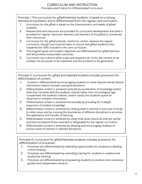#### CURRICULUM AND INSTRUCTION Principles and Criteria for Differentiated Curriculum

<span id="page-16-0"></span>Principle I: The curriculum for gifted/talented students is based on a strong theoretical foundation and is differentiated from the regular core curriculum.

- 1. Curriculum for the gifted is based on the characteristics and needs of gifted students.
- 2. Release time and resources are provided for curriculum development and time is provided for regular classroom teachers and teachers of the gifted to coordinate their instruction.
- 3. Curriculum for the gifted extends, reinforces, and/or replaces the regular curriculum, though care must be taken to assure that gifted students have mastered the TEKS included in the core curriculum.
- 4. The program goals and student objectives are differentiated for gifted learners and will produce measurable outcomes.
- 5. Curriculum has a district wide scope and sequence (K-12) for the content to be studied, the processes to be mastered, and the products to be generated.

Principle II: Curriculum for gifted and talented students includes provisions for differentiation of content.

- 1. Content is differentiated by encouraging students to move beyond merely factual information toward concepts and generalizations.
- 2. Differentiated content is achieved vertically by acceleration of knowledge and/or skills that correlate with the student's mental rather than chronological age, complement the student's interest, and/or satisfy the student's quest for advanced or complex information.
- 3. Differentiated content is achieved horizontally by providing for in-depth expansion of student knowledge.
- 4. Differentiated content is achieved by relating what is learned in one area of study to other areas and by crossing the boundaries of different disciplines to promote the application and transfer of learning.
- 5. Differentiated content is achieved by using multi-level resources that are varied and that are beyond those reserved or designated for the regular curriculum.
- 6. Differentiated content is achieved by allowing and encouraging students to pursue areas of interest in selected disciplines.

Principle III: Curriculum for gifted/talented students includes provisions for differentiation of processes.

- 1. Processes are differentiated by extending opportunities for students to develop critical thinking.
- 2. Processes are differentiated by extending training for students in creative and productive thinking.
- 3. Processes are differentiated by empowering students to conduct more extensive guided and independent research.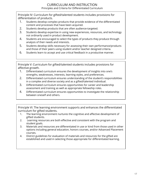Principle IV: Curriculum for gifted/talented students includes provisions for differentiation of products.

- 1. Students develop complex products that provide evidence of the differentiated content and processes that have been acquired.
- 2. Students develop products that are often audience-targeted.
- 3. Students develop expertise in using new experiences, resources, and technology not ordinarily used in product development.
- 4. Students are encouraged to select the types of products they produce through analysis of their needs and interests.
- 5. Students develop skills necessary for assessing their own performance/products and those of their peers using student and/or teacher designed criteria.
- 6. Students learn to accept and use critical feedback in a productive manner.

Principle V: Curriculum for gifted/talented students includes provisions for affective growth.

- 1. Differentiated curriculum ensures the development of insights into one's strengths, weaknesses, interests, learning styles, and preferences.
- 2. Differentiated curriculum ensures understanding of the student's responsibilities in a complex and diverse society and as a gifted/talented individual.
- 3. Differentiated curriculum ensures opportunities for career and leadership assessment and training as well as appropriate fellowship roles.
- 4. Differentiated curriculum ensures opportunities to investigate the relationship between oneself and others.

Principle VI: The learning environment supports and enhances the differentiated curriculum for gifted students.

- 1. The learning environment nurtures the cognitive and affective development of gifted students.
- 2. Learning resources are both effective and consistent with the program and student goals.
- 3. Materials and resources are differentiated in use or kind from those used in other options including general education, honors courses, and/or Advanced Placement courses.
- 4. District guidelines for evaluation of materials and resources for the gifted are established and used in selecting those appropriate for differentiated learning.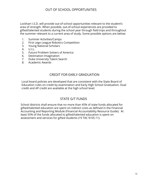## OUT OF SCHOOL OPPORTUNITIES

<span id="page-18-0"></span>Lockhart I.S.D. will provide out-of-school opportunities relevant to the student's area of strength. When possible, out-of-school experiences are provided to gifted/talented students during the school year through field trips and throughout the summer relevant to a current area of study. Some possible options are below:

- 1. Summer Activities/Camps
- 2. First Lego League Robotics Competition
- 3. Young National Scholars
- 4. U.I.L.
- 5. Future Problem Solvers of America
- 6. Destination Imagination
- 7. Duke University Talent Search
- 8. Academic Awards

## CREDIT FOR EARLY GRADUATION

Local board policies are developed that are consistent with the State Board of Education rules on credit by examination and Early High School Graduation. Dual credit and AP credit are available at the high school level.

## STATE G/T FUNDS

School districts shall ensure that no more than 45% of state funds allocated for gifted/talented education are spent on indirect costs as defined in the Financial Accounting and Reporting Module (Financial Accountability Resource Guide). At least 55% of the funds allocated to gifted/talented education is spent on assessment and services for gifted students (19 TAC §105.11).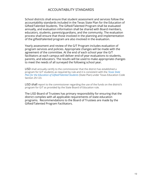## ACCOUNTABILITY STANDARDS

<span id="page-19-0"></span>School districts shall ensure that student assessment and services follow the accountability standards included in the Texas State Plan for the Education of Gifted/Talented Students. The Gifted/Talented Program shall be evaluated annually, and evaluation information shall be shared with Board members, educators, students, parents/guardians, and the community. The evaluation process shall ensure that those involved in the planning and implementation of the gifted/talented program are also involved in the evaluation.

Yearly assessment and review of the G/T Program includes evaluation of program services and policies. Appropriate changes will be made with the agreement of the committee. At the end of each school year the G/T facilitators at each campus will deliver end-of-year evaluations to students, parents, and educators. The results will be used to make appropriate changes to meet the needs of all surveyed the following school year.

LISD shall annually certify to the commissioner that the district has established a program for G/T students as required by rule and it is consistent with the *[Texas State](https://tea.texas.gov/sites/default/files/GT_State_Plan_2019_1.pdf)  [Plan for the Education of Gifted/Talented Students](https://tea.texas.gov/sites/default/files/GT_State_Plan_2019_1.pdf)* (State Plan) under Texas Education Code Section 29.123.

LISD shall report to the commissioner regarding the use of the funds on the district's program for G/T as provided by the State Board of Education rule.

The LISD Board of Trustees has primary responsibility for ensuring that the district complies with all applicable requirements of state education programs. Recommendations to the Board of Trustees are made by the Gifted/Talented Program Facilitators.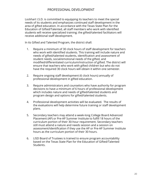## PROFESSIONAL DEVELOPMENT

<span id="page-20-0"></span>Lockhart I.S.D. is committed to equipping its teachers to meet the special needs of its students and emphasizes continued staff development in the area of gifted education. In accordance with the Texas State Plan for the Education of Gifted/Talented, all staff members who work with identified students will receive specialized training; the gifted/talented facilitators will receive additional staff development.

In its Gifted and Talented Program, the district shall:

- 1. Require a minimum of 30 clock hours of staff development for teachers who work with identified students. This training will include nature and needs of gifted/talented students, identification and assessment of student needs, social/emotional needs of the gifted, and modified/differentiated curriculum/instruction of gifted. The district will ensure that teachers who work with gifted children but who do not have the required 30 clock hours will obtain it within one semester.
- 2. Require ongoing staff development (6 clock hours) annually of professional development in gifted education.
- 3. Require administrators and counselors who have authority for program decisions to have a minimum of 6 hours of professional development which includes nature and needs of gifted/talented students and program design and options for gifted/talented students.
- 4. Professional development activities will be evaluated. The results of the evaluations will help determine future training or staff development plans.
- 5. Secondary teachers may attend a week-long College Board Advanced Placement (AP) or Pre-AP Summer Institute to fulfill 18 hours of the curriculum portion of their 30-hour requirement. Secondary teachers still must attend a nature and needs session and a session on assessment/identification if they use the AP or Pre-AP Summer Institute hours as the curriculum portion of their 30 hours.
- 6. LISD Board of Trustees is trained to ensure program accountability based on the Texas State Plan for the Education of Gifted/Talented Students.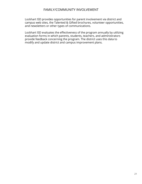## FAMILY/COMMUNITY INVOLVEMENT

<span id="page-21-0"></span>Lockhart ISD provides opportunities for parent involvement via district and campus web sites, the Talented & Gifted brochures, volunteer opportunities, and newsletters or other types of communications.

Lockhart ISD evaluates the effectiveness of the program annually by utilizing evaluation forms in which parents, students, teachers, and administrators provide feedback concerning the program. The district uses this data to modify and update district and campus improvement plans.